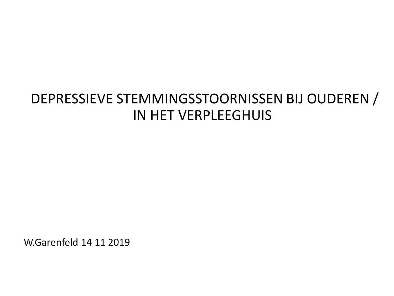## DEPRESSIEVE STEMMINGSSTOORNISSEN BIJ OUDEREN / IN HET VERPLEEGHUIS

W.Garenfeld 14 11 2019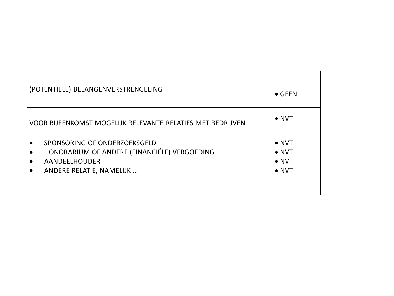| (POTENTIËLE) BELANGENVERSTRENGELING | $\bullet$ GEEN                                             |               |
|-------------------------------------|------------------------------------------------------------|---------------|
|                                     | VOOR BIJEENKOMST MOGELIJK RELEVANTE RELATIES MET BEDRIJVEN | $\bullet$ NVT |
|                                     | SPONSORING OF ONDERZOEKSGELD                               | $\bullet$ NVT |
|                                     | HONORARIUM OF ANDERE (FINANCIËLE) VERGOEDING               | $\bullet$ NVT |
|                                     | <b>AANDEELHOUDER</b>                                       | $\bullet$ NVT |
|                                     | ANDERE RELATIE, NAMELIJK                                   | $\bullet$ NVT |
|                                     |                                                            |               |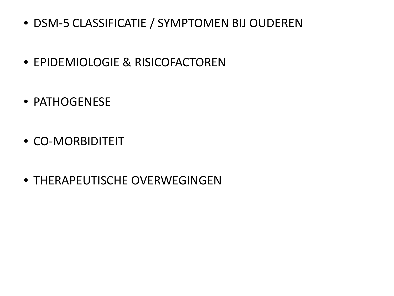- DSM-5 CLASSIFICATIE / SYMPTOMEN BIJ OUDEREN
- EPIDEMIOLOGIE & RISICOFACTOREN
- PATHOGENESE
- CO-MORBIDITEIT
- THERAPEUTISCHE OVERWEGINGEN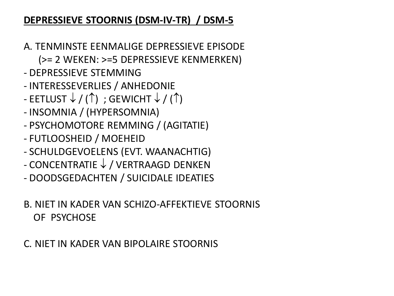### **DEPRESSIEVE STOORNIS (DSM-IV-TR) / DSM-5**

- A. TENMINSTE EENMALIGE DEPRESSIEVE EPISODE
	- (>= 2 WEKEN: >=5 DEPRESSIEVE KENMERKEN)
- DEPRESSIEVE STEMMING
- INTERESSEVERLIES / ANHEDONIE
- EETLUST  $\downarrow$  / ( $\uparrow$ ); GEWICHT  $\downarrow$  / ( $\uparrow$ )
- INSOMNIA / (HYPERSOMNIA)
- PSYCHOMOTORE REMMING / (AGITATIE)
- FUTLOOSHEID / MOEHEID
- SCHULDGEVOELENS (EVT. WAANACHTIG)
- CONCENTRATIE ↓ / VERTRAAGD DENKEN
- DOODSGEDACHTEN / SUICIDALE IDEATIES

### B. NIET IN KADER VAN SCHIZO-AFFEKTIEVE STOORNIS OF PSYCHOSE

### C. NIET IN KADER VAN BIPOLAIRE STOORNIS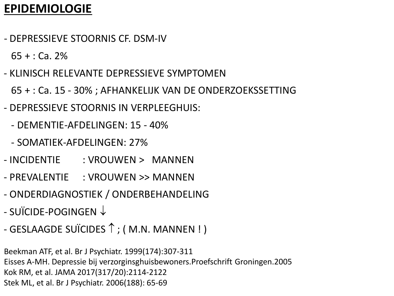### **EPIDEMIOLOGIE**

- DEPRESSIEVE STOORNIS CF. DSM-IV

 $65 + 0.2%$ 

- KLINISCH RELEVANTE DEPRESSIEVE SYMPTOMEN
	- 65 + : Ca. 15 30% ; AFHANKELIJK VAN DE ONDERZOEKSSETTING
- DEPRESSIEVE STOORNIS IN VERPLEEGHUIS:
	- DEMENTIE-AFDELINGEN: 15 40%
	- SOMATIEK-AFDELINGEN: 27%
- INCIDENTIE : VROUWEN > MANNEN
- PREVALENTIE : VROUWEN >> MANNEN
- ONDERDIAGNOSTIEK / ONDERBEHANDELING
- SUÏCIDE-POGINGEN ↓
- GESLAAGDE SUÏCIDES  $\uparrow$  ; ( M.N. MANNEN ! )

Beekman ATF, et al. Br J Psychiatr. 1999(174):307-311 Eisses A-MH. Depressie bij verzorginsghuisbewoners.Proefschrift Groningen.2005 Kok RM, et al. JAMA 2017(317/20):2114-2122 Stek ML, et al. Br J Psychiatr. 2006(188): 65-69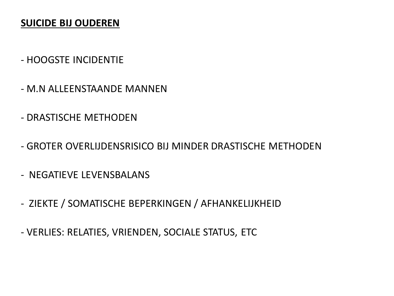### **SUICIDE BIJ OUDEREN**

### - HOOGSTE INCIDENTIE

- M.N ALLEENSTAANDE MANNEN
- DRASTISCHE METHODEN
- GROTER OVERLIJDENSRISICO BIJ MINDER DRASTISCHE METHODEN
- NEGATIEVE LEVENSBALANS
- ZIEKTE / SOMATISCHE BEPERKINGEN / AFHANKELIJKHEID
- VERLIES: RELATIES, VRIENDEN, SOCIALE STATUS, ETC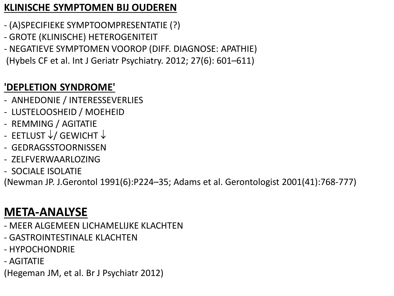### **KLINISCHE SYMPTOMEN BIJ OUDEREN**

- (A)SPECIFIEKE SYMPTOOMPRESENTATIE (?)
- GROTE (KLINISCHE) HETEROGENITEIT
- NEGATIEVE SYMPTOMEN VOOROP (DIFF. DIAGNOSE: APATHIE)
- (Hybels CF et al. Int J Geriatr Psychiatry. 2012; 27(6): 601–611)

### **'DEPLETION SYNDROME'**

- ANHEDONIE / INTERESSEVERLIES
- LUSTELOOSHEID / MOEHEID
- REMMING / AGITATIE
- EETLUST ↓/ GEWICHT ↓
- GEDRAGSSTOORNISSEN
- ZELFVERWAARLOZING
- SOCIALE ISOLATIE

(Newman JP. J.Gerontol 1991(6):P224–35; Adams et al. Gerontologist 2001(41):768-777)

## **META-ANALYSE**

- MEER ALGEMEEN LICHAMELIJKE KLACHTEN
- GASTROINTESTINALE KLACHTEN
- HYPOCHONDRIE
- AGITATIE

(Hegeman JM, et al. Br J Psychiatr 2012)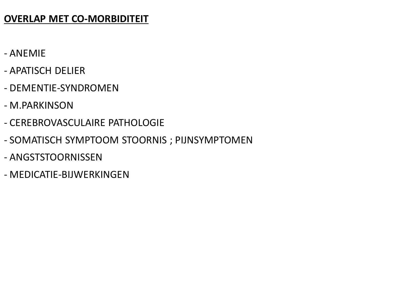### **OVERLAP MET CO-MORBIDITEIT**

- ANEMIE
- APATISCH DELIER
- DEMENTIE-SYNDROMEN
- M.PARKINSON
- CEREBROVASCULAIRE PATHOLOGIE
- SOMATISCH SYMPTOOM STOORNIS ; PIJNSYMPTOMEN
- ANGSTSTOORNISSEN
- MEDICATIE-BIJWERKINGEN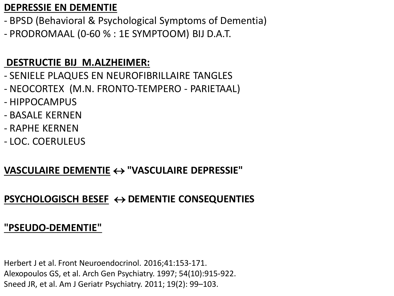### **DEPRESSIE EN DEMENTIE**

- BPSD (Behavioral & Psychological Symptoms of Dementia) - PRODROMAAL (0-60 % : 1E SYMPTOOM) BIJ D.A.T.

### **DESTRUCTIE BIJ M.ALZHEIMER:**

- SENIELE PLAQUES EN NEUROFIBRILLAIRE TANGLES
- NEOCORTEX (M.N. FRONTO-TEMPERO PARIETAAL)
- HIPPOCAMPUS
- BASALE KERNEN
- RAPHE KERNEN
- LOC. COERULEUS

### **VASCULAIRE DEMENTIE** ↔ **"VASCULAIRE DEPRESSIE"**

### **PSYCHOLOGISCH BESEF** ↔ **DEMENTIE CONSEQUENTIES**

### **"PSEUDO-DEMENTIE"**

Herbert J et al. Front Neuroendocrinol. 2016;41:153-171. Alexopoulos GS, et al. Arch Gen Psychiatry. 1997; 54(10):915-922. Sneed JR, et al. Am J Geriatr Psychiatry. 2011; 19(2): 99–103.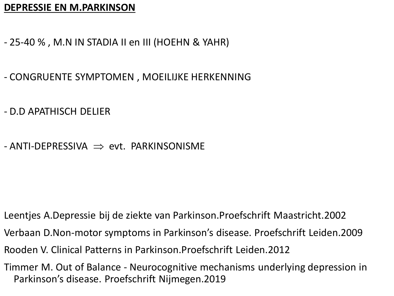#### **DEPRESSIE EN M.PARKINSON**

- 25-40 % , M.N IN STADIA II en III (HOEHN & YAHR)
- CONGRUENTE SYMPTOMEN , MOEILIJKE HERKENNING
- D.D APATHISCH DELIER
- $-$  ANTI-DEPRESSIVA  $\implies$  evt. PARKINSONISME

- Leentjes A.Depressie bij de ziekte van Parkinson.Proefschrift Maastricht.2002
- Verbaan D.Non-motor symptoms in Parkinson's disease. Proefschrift Leiden.2009
- Rooden V. Clinical Patterns in Parkinson.Proefschrift Leiden.2012
- Timmer M. Out of Balance Neurocognitive mechanisms underlying depression in Parkinson's disease. Proefschrift Nijmegen.2019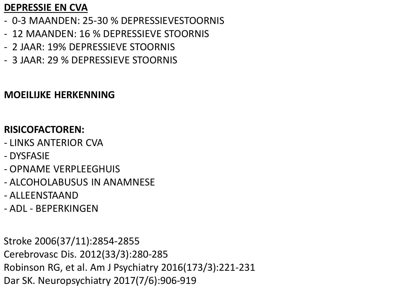### **DEPRESSIE EN CVA**

- 0-3 MAANDEN: 25-30 % DEPRESSIEVESTOORNIS
- 12 MAANDEN: 16 % DEPRESSIEVE STOORNIS
- 2 JAAR: 19% DEPRESSIEVE STOORNIS
- 3 JAAR: 29 % DEPRESSIEVE STOORNIS

### **MOEILIJKE HERKENNING**

### **RISICOFACTOREN:**

- LINKS ANTERIOR CVA
- DYSFASIE
- OPNAME VERPLEEGHUIS
- ALCOHOLABUSUS IN ANAMNESE
- ALLEENSTAAND
- ADL BEPERKINGEN

Stroke 2006(37/11):2854-2855 Cerebrovasc Dis. 2012(33/3):280-285 Robinson RG, et al. Am J Psychiatry 2016(173/3):221-231 Dar SK. Neuropsychiatry 2017(7/6):906-919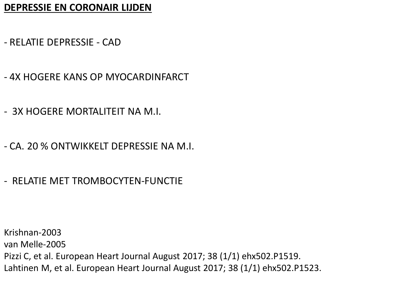#### **DEPRESSIE EN CORONAIR LIJDEN**

- RELATIE DEPRESSIE CAD
- 4X HOGERE KANS OP MYOCARDINFARCT
- 3X HOGERE MORTALITEIT NA M.I.
- CA. 20 % ONTWIKKELT DEPRESSIE NA M.I.
- RELATIE MET TROMBOCYTEN-FUNCTIE

Krishnan-2003 van Melle-2005 Pizzi C, et al. European Heart Journal August 2017; 38 (1/1) ehx502.P1519. Lahtinen M, et al. European Heart Journal August 2017; 38 (1/1) ehx502.P1523.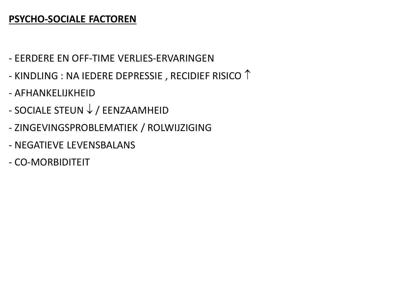### **PSYCHO-SOCIALE FACTOREN**

- EERDERE EN OFF-TIME VERLIES-ERVARINGEN
- KINDLING : NA IEDERE DEPRESSIE , RECIDIEF RISICO  $\uparrow$
- AFHANKELIJKHEID
- SOCIALE STEUN ↓ / EENZAAMHEID
- ZINGEVINGSPROBLEMATIEK / ROLWIJZIGING
- NEGATIEVE LEVENSBALANS
- CO-MORBIDITEIT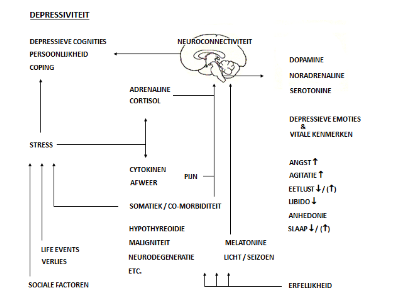#### DEPRESSIVITEIT

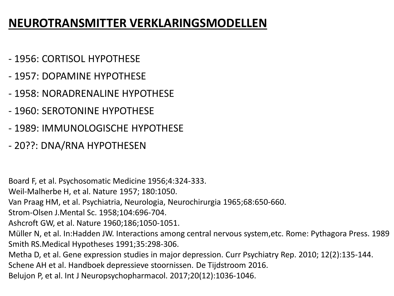### **NEUROTRANSMITTER VERKLARINGSMODELLEN**

- 1956: CORTISOL HYPOTHESE
- 1957: DOPAMINE HYPOTHESE
- 1958: NORADRENALINE HYPOTHESE
- 1960: SEROTONINE HYPOTHESE
- 1989: IMMUNOLOGISCHE HYPOTHESE
- 20??: DNA/RNA HYPOTHESEN

Board F, et al. Psychosomatic Medicine 1956;4:324-333.

Weil-Malherbe H, et al. Nature 1957; 180:1050.

Van Praag HM, et al. Psychiatria, Neurologia, Neurochirurgia 1965;68:650-660.

Strom-Olsen J.Mental Sc. 1958;104:696-704.

Ashcroft GW, et al. Nature 1960;186;1050-1051.

Müller N, et al. In:Hadden JW. Interactions among central nervous system,etc. Rome: Pythagora Press. 1989 Smith RS.Medical Hypotheses 1991;35:298-306.

Metha D, et al. Gene expression studies in major depression. Curr Psychiatry Rep. 2010; 12(2):135-144.

Schene AH et al. Handboek depressieve stoornissen. De Tijdstroom 2016.

Belujon P, et al. Int J Neuropsychopharmacol. 2017;20(12):1036-1046.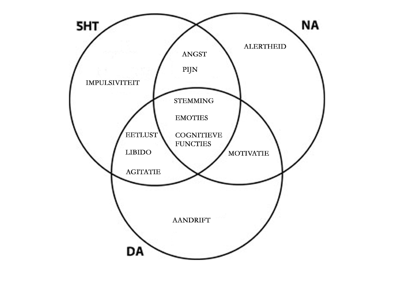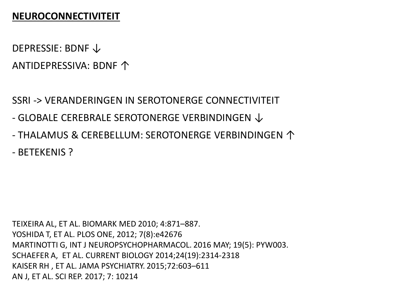#### **NEUROCONNECTIVITEIT**

DEPRESSIE: BDNF ↓ ANTIDEPRESSIVA: BDNF ↑

SSRI -> VERANDERINGEN IN SEROTONERGE CONNECTIVITEIT

- GLOBALE CEREBRALE SEROTONERGE VERBINDINGEN  $\downarrow$
- THALAMUS & CEREBELLUM: SEROTONERGE VERBINDINGEN ↑
- BETEKENIS ?

TEIXEIRA AL, ET AL. BIOMARK MED 2010; 4:871–887. YOSHIDA T, ET AL. PLOS ONE, 2012; 7(8):e42676 MARTINOTTI G, INT J NEUROPSYCHOPHARMACOL. 2016 MAY; 19(5): PYW003. SCHAEFER A, ET AL. CURRENT BIOLOGY 2014;24(19):2314-2318 KAISER RH , ET AL. JAMA PSYCHIATRY. 2015;72:603–611 AN J, ET AL. SCI REP. 2017; 7: 10214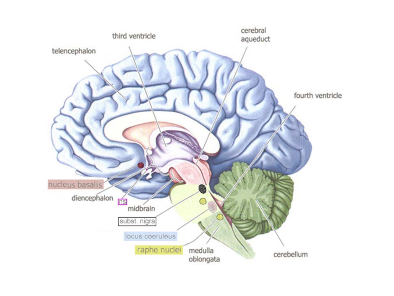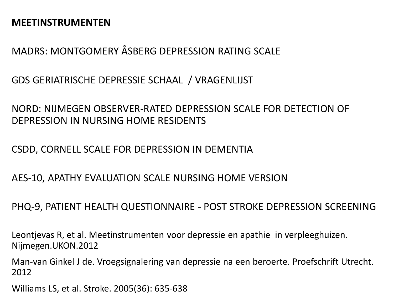#### **MEETINSTRUMENTEN**

MADRS: MONTGOMERY ÅSBERG DEPRESSION RATING SCALE

GDS GERIATRISCHE DEPRESSIE SCHAAL / VRAGENLIJST

NORD: NIJMEGEN OBSERVER-RATED DEPRESSION SCALE FOR DETECTION OF DEPRESSION IN NURSING HOME RESIDENTS

CSDD, CORNELL SCALE FOR DEPRESSION IN DEMENTIA

AES-10, APATHY EVALUATION SCALE NURSING HOME VERSION

PHQ-9, PATIENT HEALTH QUESTIONNAIRE - POST STROKE DEPRESSION SCREENING

Leontjevas R, et al. Meetinstrumenten voor depressie en apathie in verpleeghuizen. Nijmegen.UKON.2012

Man-van Ginkel J de. Vroegsignalering van depressie na een beroerte. Proefschrift Utrecht. 2012

Williams LS, et al. Stroke. 2005(36): 635-638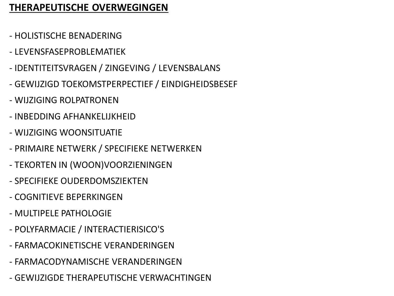### **THERAPEUTISCHE OVERWEGINGEN**

- HOLISTISCHE BENADERING
- LEVENSFASEPROBLEMATIEK
- IDENTITEITSVRAGEN / ZINGEVING / LEVENSBALANS
- GEWIJZIGD TOEKOMSTPERPECTIEF / EINDIGHEIDSBESEF
- WIJZIGING ROLPATRONEN
- INBEDDING AFHANKELIJKHEID
- WIJZIGING WOONSITUATIE
- PRIMAIRE NETWERK / SPECIFIEKE NETWERKEN
- TEKORTEN IN (WOON)VOORZIENINGEN
- SPECIFIEKE OUDERDOMSZIEKTEN
- COGNITIEVE BEPERKINGEN
- MULTIPELE PATHOLOGIE
- POLYFARMACIE / INTERACTIERISICO'S
- FARMACOKINETISCHE VERANDERINGEN
- FARMACODYNAMISCHE VERANDERINGEN
- GEWIJZIGDE THERAPEUTISCHE VERWACHTINGEN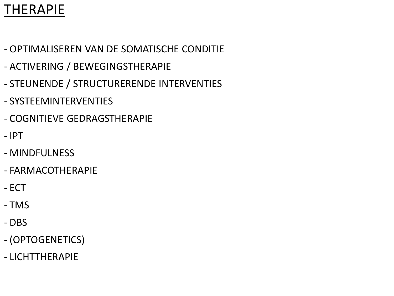## THERAPIE

- OPTIMALISEREN VAN DE SOMATISCHE CONDITIE
- ACTIVERING / BEWEGINGSTHERAPIE
- STEUNENDE / STRUCTURERENDE INTERVENTIES
- SYSTEEMINTERVENTIES
- COGNITIEVE GEDRAGSTHERAPIE
- IPT
- MINDFULNESS
- FARMACOTHERAPIE
- ECT
- TMS
- DBS
- (OPTOGENETICS)
- LICHTTHERAPIE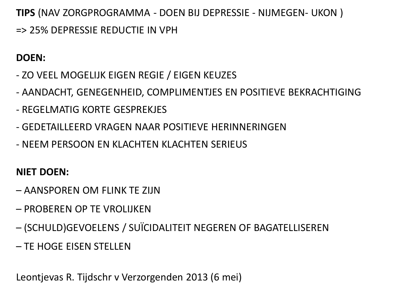**TIPS** (NAV ZORGPROGRAMMA - DOEN BIJ DEPRESSIE - NIJMEGEN- UKON ) => 25% DEPRESSIE REDUCTIE IN VPH

### **DOEN:**

- ZO VEEL MOGELIJK EIGEN REGIE / EIGEN KEUZES
- AANDACHT, GENEGENHEID, COMPLIMENTJES EN POSITIEVE BEKRACHTIGING
- REGELMATIG KORTE GESPREKJES
- GEDETAILLEERD VRAGEN NAAR POSITIEVE HERINNERINGEN
- NEEM PERSOON EN KLACHTEN KLACHTEN SERIEUS

### **NIET DOEN:**

- AANSPOREN OM FLINK TE ZIJN
- PROBEREN OP TE VROLIJKEN
- (SCHULD)GEVOELENS / SUÏCIDALITEIT NEGEREN OF BAGATELLISEREN
- TE HOGE EISEN STELLEN

Leontjevas R. Tijdschr v Verzorgenden 2013 (6 mei)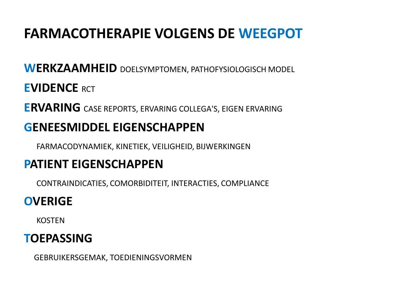# **FARMACOTHERAPIE VOLGENS DE WEEGPOT**

# **WERKZAAMHEID** DOELSYMPTOMEN, PATHOFYSIOLOGISCH MODEL **EVIDENCE** RCT **ERVARING** CASE REPORTS, ERVARING COLLEGA'S, EIGEN ERVARING **GENEESMIDDEL EIGENSCHAPPEN**

FARMACODYNAMIEK, KINETIEK, VEILIGHEID, BIJWERKINGEN

## **PATIENT EIGENSCHAPPEN**

CONTRAINDICATIES, COMORBIDITEIT, INTERACTIES, COMPLIANCE

## **OVERIGE**

KOSTEN

## **TOEPASSING**

GEBRUIKERSGEMAK, TOEDIENINGSVORMEN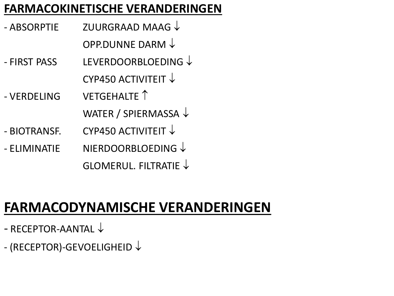## **FARMACOKINETISCHE VERANDERINGEN**

- ABSORPTIE ZUURGRAAD MAAG ↓
	- OPP.DUNNE DARM ↓
- FIRST PASS LEVERDOORBLOEDING ↓ CYP450 ACTIVITEIT ↓
- VERDELING VETGEHALTE ↑ WATER / SPIERMASSA ↓
- $-$  BIOTRANSF. CYP450 ACTIVITEIT  $\downarrow$
- ELIMINATIE NIERDOORBLOEDING ↓ GLOMERUL. FILTRATIE ↓

# **FARMACODYNAMISCHE VERANDERINGEN**

- RECEPTOR-AANTAL ↓
- (RECEPTOR)-GEVOELIGHEID ↓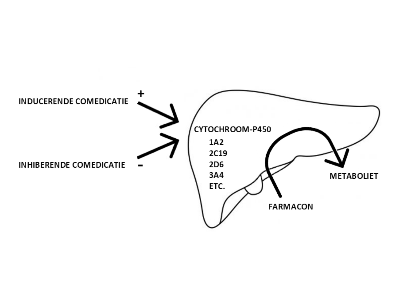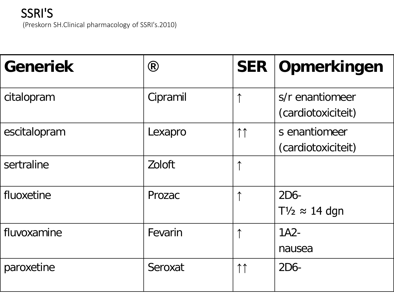

| <b>Generiek</b> | $\circledR$ | <b>SER</b>          | Opmerkingen                           |
|-----------------|-------------|---------------------|---------------------------------------|
| citalopram      | Cipramil    | 个                   | s/r enantiomeer<br>(cardiotoxiciteit) |
| escitalopram    | Lexapro     | 11                  | s enantiomeer<br>(cardiotoxiciteit)   |
| sertraline      | Zoloft      | ↑                   |                                       |
| fluoxetine      | Prozac      | ↑                   | 2D6-<br>$T\frac{1}{2} \approx 14$ dgn |
| fluvoxamine     | Fevarin     |                     | $1A2-$<br>nausea                      |
| paroxetine      | Seroxat     | $\uparrow \uparrow$ | $2D6-$                                |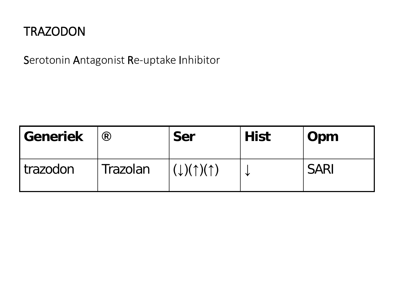## **TRAZODON**

Serotonin Antagonist Re-uptake Inhibitor

| <b>Generiek</b> | $\circledR$ | <b>Ser</b>                                              | <b>Hist</b> | Opm         |
|-----------------|-------------|---------------------------------------------------------|-------------|-------------|
| I trazodon      | Trazolan    | $\uparrow$ ( $\downarrow$ )( $\uparrow$ )( $\uparrow$ ) |             | <b>SARI</b> |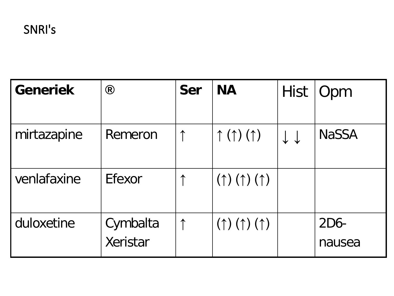| <b>Generiek</b> | $\circledR$          | Ser | <b>NA</b>                                | <b>Hist</b> | Opm              |
|-----------------|----------------------|-----|------------------------------------------|-------------|------------------|
| mirtazapine     | Remeron              | ↑   | $\uparrow$ ( $\uparrow$ ) ( $\uparrow$ ) | ↓↓          | <b>NaSSA</b>     |
| venlafaxine     | Efexor               |     | $(\uparrow)$ $(\uparrow)$ $(\uparrow)$   |             |                  |
| duloxetine      | Cymbalta<br>Xeristar |     | $(\uparrow)$ $(\uparrow)$ $(\uparrow)$   |             | $2D6-$<br>nausea |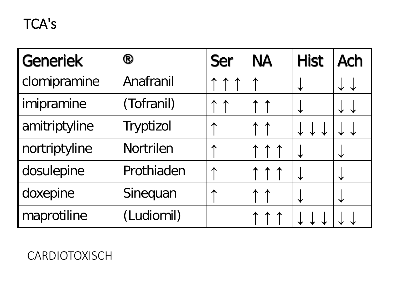## TCA's

| <b>Generiek</b> | ®          | <b>Ser</b> | <b>NA</b> | <b>Hist</b> | <b>Ach</b> |
|-----------------|------------|------------|-----------|-------------|------------|
| clomipramine    | Anafranil  | $\uparrow$ | 个         |             |            |
| imipramine      | (Tofranil) | 个          | ↑         |             |            |
| amitriptyline   | Tryptizol  |            | ↑         |             |            |
| nortriptyline   | Nortrilen  |            |           |             |            |
| dosulepine      | Prothiaden |            |           |             |            |
| doxepine        | Sinequan   |            | ↑         |             |            |
| maprotiline     | (Ludiomil) |            |           |             |            |

**CARDIOTOXISCH**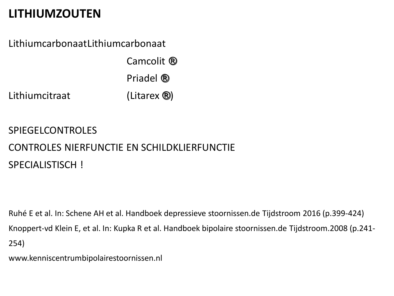## **LITHIUMZOUTEN**

LithiumcarbonaatLithiumcarbonaat

Camcolit ® Priadel ® Lithiumcitraat (Litarex ®)

**SPIEGELCONTROLES** CONTROLES NIERFUNCTIE EN SCHILDKLIERFUNCTIE SPECIALISTISCH !

Ruhé E et al. In: Schene AH et al. Handboek depressieve stoornissen.de Tijdstroom 2016 (p.399-424) Knoppert-vd Klein E, et al. In: Kupka R et al. Handboek bipolaire stoornissen.de Tijdstroom.2008 (p.241- 254)

www.kenniscentrumbipolairestoornissen.nl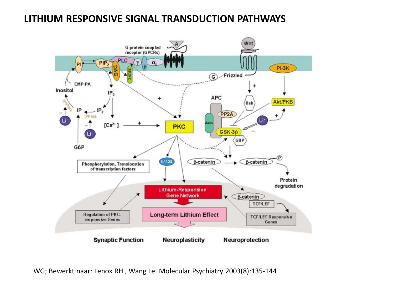#### **LITHIUM RESPONSIVE SIGNAL TRANSDUCTION PATHWAYS**



WG; Bewerkt naar: Lenox RH , Wang Le. Molecular Psychiatry 2003(8):135-144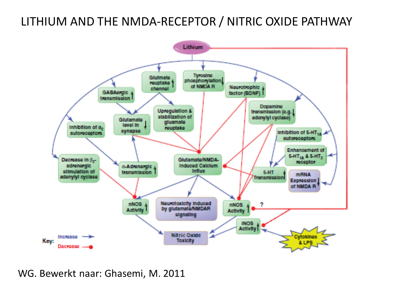### LITHIUM AND THE NMDA-RECEPTOR / NITRIC OXIDE PATHWAY



WG. Bewerkt naar: Ghasemi, M. 2011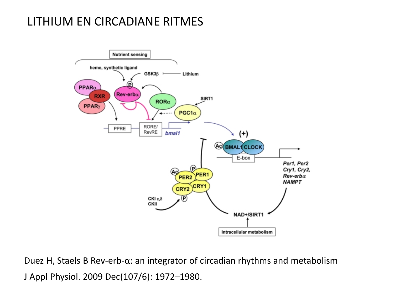### LITHIUM EN CIRCADIANE RITMES



Duez H, Staels B Rev-erb-α: an integrator of circadian rhythms and metabolism J Appl Physiol. 2009 Dec(107/6): 1972–1980.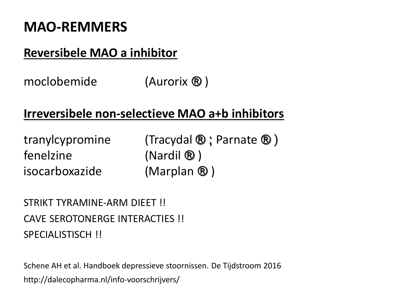## **MAO-REMMERS**

## **Reversibele MAO a inhibitor**

moclobemide (Aurorix ®)

## **Irreversibele non-selectieve MAO a+b inhibitors**

fenelzine (Nardil ®) isocarboxazide (Marplan ® )

tranylcypromine (Tracydal  $\mathbf{\mathbb{R}}$ ; Parnate  $\mathbf{\mathbb{R}}$ )

STRIKT TYRAMINF-ARM DIFFT !! CAVE SEROTONERGE INTERACTIES !! SPECIALISTISCH<sup>!</sup>

Schene AH et al. Handboek depressieve stoornissen. De Tijdstroom 2016 http://dalecopharma.nl/info-voorschrijvers/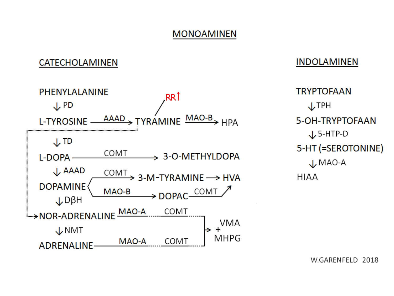#### **MONOAMINEN**

#### CATECHOLAMINEN



#### **INDOLAMINEN**

**TRYPTOFAAN J**TPH 5-OH-TRYPTOFAAN  $\downarrow$  5-HTP-D 5-HT (=SEROTONINE)  $\downarrow$  MAO-A **HIAA** 

W.GARENFELD 2018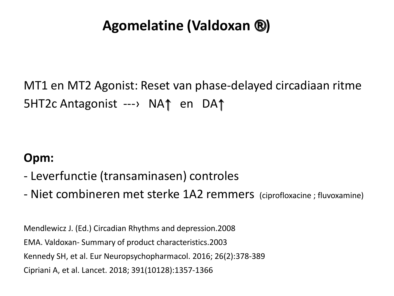# **Agomelatine (Valdoxan ®)**

MT1 en MT2 Agonist: Reset van phase-delayed circadiaan ritme 5HT2c Antagonist ---› NA↑ en DA↑

### **Opm:**

- Leverfunctie (transaminasen) controles
- Niet combineren met sterke 1A2 remmers (ciprofloxacine ; fluvoxamine)

Mendlewicz J. (Ed.) Circadian Rhythms and depression.2008 EMA. Valdoxan- Summary of product characteristics.2003 Kennedy SH, et al. Eur Neuropsychopharmacol. 2016; 26(2):378-389 Cipriani A, et al. Lancet. 2018; 391(10128):1357-1366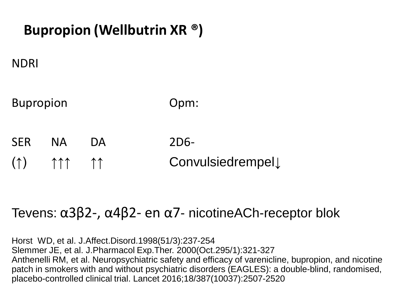# **Bupropion (Wellbutrin XR ®)**

### NDRI

Bupropion Opm:

SER NA DA 2D6-(↑) ↑↑↑ ↑↑ Convulsiedrempel↓

## Tevens: α3β2-, α4β2- en α7- nicotineACh-receptor blok

Horst WD, et al. J.Affect.Disord.1998(51/3):237-254 Slemmer JE, et al. J.Pharmacol Exp.Ther. 2000(Oct.295/1):321-327 Anthenelli RM, et al. Neuropsychiatric safety and efficacy of varenicline, bupropion, and nicotine patch in smokers with and without psychiatric disorders (EAGLES): a double-blind, randomised, placebo-controlled clinical trial. Lancet 2016;18/387(10037):2507-2520